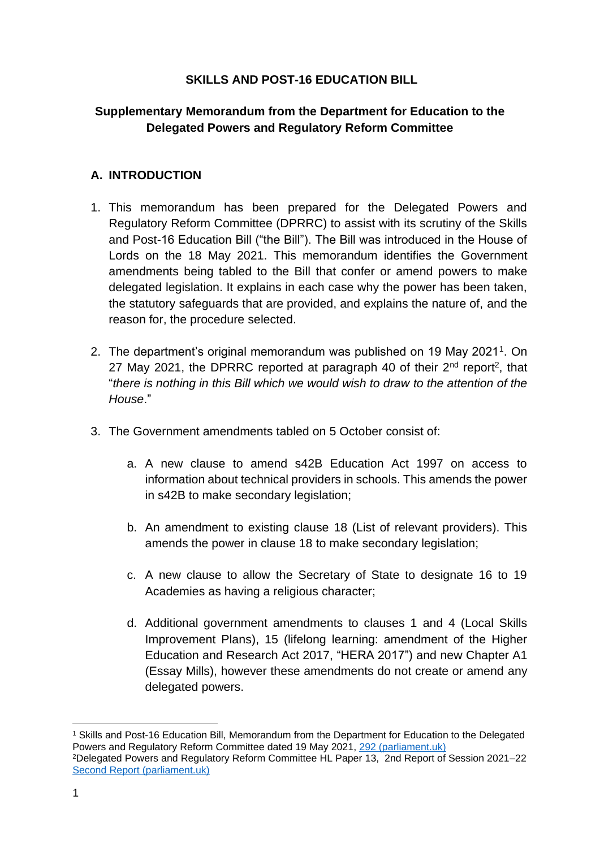## **SKILLS AND POST-16 EDUCATION BILL**

# **Supplementary Memorandum from the Department for Education to the Delegated Powers and Regulatory Reform Committee**

# **A. INTRODUCTION**

- 1. This memorandum has been prepared for the Delegated Powers and Regulatory Reform Committee (DPRRC) to assist with its scrutiny of the Skills and Post-16 Education Bill ("the Bill"). The Bill was introduced in the House of Lords on the 18 May 2021. This memorandum identifies the Government amendments being tabled to the Bill that confer or amend powers to make delegated legislation. It explains in each case why the power has been taken, the statutory safeguards that are provided, and explains the nature of, and the reason for, the procedure selected.
- 2. The department's original memorandum was published on 19 May 2021<sup>1</sup>. On 27 May 2021, the DPRRC reported at paragraph 40 of their  $2^{nd}$  report<sup>2</sup>, that "*there is nothing in this Bill which we would wish to draw to the attention of the House*."
- 3. The Government amendments tabled on 5 October consist of:
	- a. A new clause to amend s42B Education Act 1997 on access to information about technical providers in schools. This amends the power in s42B to make secondary legislation;
	- b. An amendment to existing clause 18 (List of relevant providers). This amends the power in clause 18 to make secondary legislation;
	- c. A new clause to allow the Secretary of State to designate 16 to 19 Academies as having a religious character;
	- d. Additional government amendments to clauses 1 and 4 (Local Skills Improvement Plans), 15 (lifelong learning: amendment of the Higher Education and Research Act 2017, "HERA 2017") and new Chapter A1 (Essay Mills), however these amendments do not create or amend any delegated powers.

<sup>1</sup> Skills and Post-16 Education Bill, Memorandum from the Department for Education to the Delegated Powers and Regulatory Reform Committee dated 19 May 2021, [292 \(parliament.uk\)](https://bills.parliament.uk/publications/41558/documents/292) <sup>2</sup>Delegated Powers and Regulatory Reform Committee HL Paper 13, 2nd Report of Session 2021–22 [Second Report \(parliament.uk\)](https://committees.parliament.uk/publications/6129/documents/68369/default/)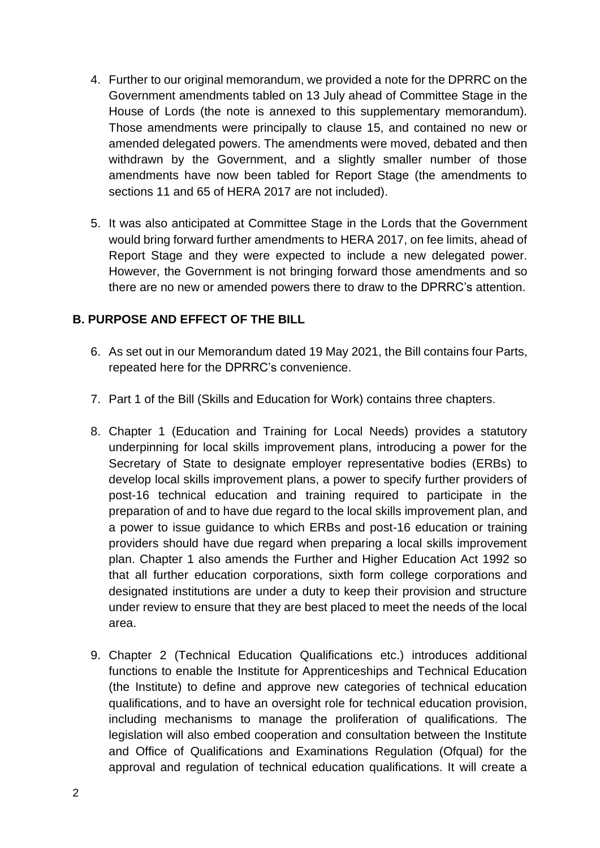- 4. Further to our original memorandum, we provided a note for the DPRRC on the Government amendments tabled on 13 July ahead of Committee Stage in the House of Lords (the note is annexed to this supplementary memorandum). Those amendments were principally to clause 15, and contained no new or amended delegated powers. The amendments were moved, debated and then withdrawn by the Government, and a slightly smaller number of those amendments have now been tabled for Report Stage (the amendments to sections 11 and 65 of HERA 2017 are not included).
- 5. It was also anticipated at Committee Stage in the Lords that the Government would bring forward further amendments to HERA 2017, on fee limits, ahead of Report Stage and they were expected to include a new delegated power. However, the Government is not bringing forward those amendments and so there are no new or amended powers there to draw to the DPRRC's attention.

## **B. PURPOSE AND EFFECT OF THE BILL**

- 6. As set out in our Memorandum dated 19 May 2021, the Bill contains four Parts, repeated here for the DPRRC's convenience.
- 7. Part 1 of the Bill (Skills and Education for Work) contains three chapters.
- 8. Chapter 1 (Education and Training for Local Needs) provides a statutory underpinning for local skills improvement plans, introducing a power for the Secretary of State to designate employer representative bodies (ERBs) to develop local skills improvement plans, a power to specify further providers of post-16 technical education and training required to participate in the preparation of and to have due regard to the local skills improvement plan, and a power to issue guidance to which ERBs and post-16 education or training providers should have due regard when preparing a local skills improvement plan. Chapter 1 also amends the Further and Higher Education Act 1992 so that all further education corporations, sixth form college corporations and designated institutions are under a duty to keep their provision and structure under review to ensure that they are best placed to meet the needs of the local area.
- 9. Chapter 2 (Technical Education Qualifications etc.) introduces additional functions to enable the Institute for Apprenticeships and Technical Education (the Institute) to define and approve new categories of technical education qualifications, and to have an oversight role for technical education provision, including mechanisms to manage the proliferation of qualifications. The legislation will also embed cooperation and consultation between the Institute and Office of Qualifications and Examinations Regulation (Ofqual) for the approval and regulation of technical education qualifications. It will create a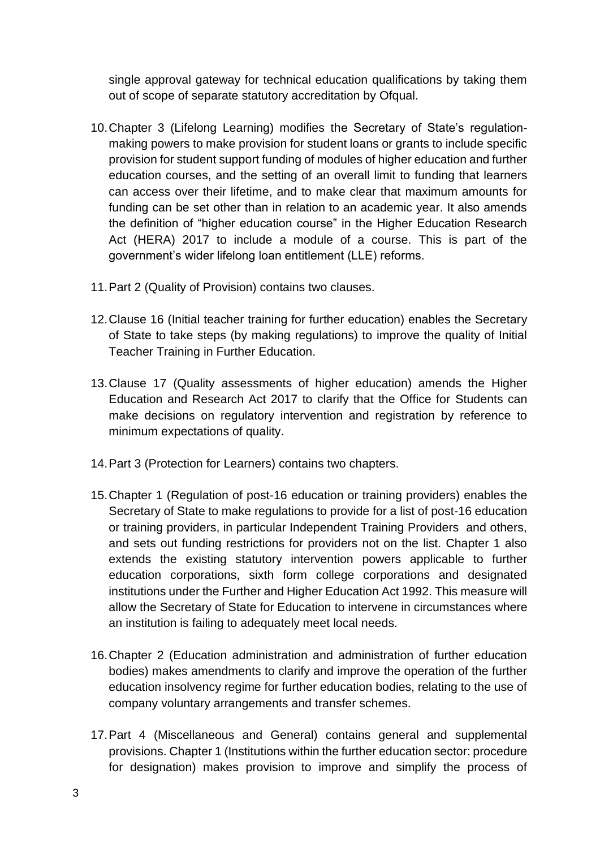single approval gateway for technical education qualifications by taking them out of scope of separate statutory accreditation by Ofqual.

- 10.Chapter 3 (Lifelong Learning) modifies the Secretary of State's regulationmaking powers to make provision for student loans or grants to include specific provision for student support funding of modules of higher education and further education courses, and the setting of an overall limit to funding that learners can access over their lifetime, and to make clear that maximum amounts for funding can be set other than in relation to an academic year. It also amends the definition of "higher education course" in the Higher Education Research Act (HERA) 2017 to include a module of a course. This is part of the government's wider lifelong loan entitlement (LLE) reforms.
- 11.Part 2 (Quality of Provision) contains two clauses.
- 12.Clause 16 (Initial teacher training for further education) enables the Secretary of State to take steps (by making regulations) to improve the quality of Initial Teacher Training in Further Education.
- 13.Clause 17 (Quality assessments of higher education) amends the Higher Education and Research Act 2017 to clarify that the Office for Students can make decisions on regulatory intervention and registration by reference to minimum expectations of quality.
- 14.Part 3 (Protection for Learners) contains two chapters.
- 15.Chapter 1 (Regulation of post-16 education or training providers) enables the Secretary of State to make regulations to provide for a list of post-16 education or training providers, in particular Independent Training Providers and others, and sets out funding restrictions for providers not on the list. Chapter 1 also extends the existing statutory intervention powers applicable to further education corporations, sixth form college corporations and designated institutions under the Further and Higher Education Act 1992. This measure will allow the Secretary of State for Education to intervene in circumstances where an institution is failing to adequately meet local needs.
- 16.Chapter 2 (Education administration and administration of further education bodies) makes amendments to clarify and improve the operation of the further education insolvency regime for further education bodies, relating to the use of company voluntary arrangements and transfer schemes.
- 17.Part 4 (Miscellaneous and General) contains general and supplemental provisions. Chapter 1 (Institutions within the further education sector: procedure for designation) makes provision to improve and simplify the process of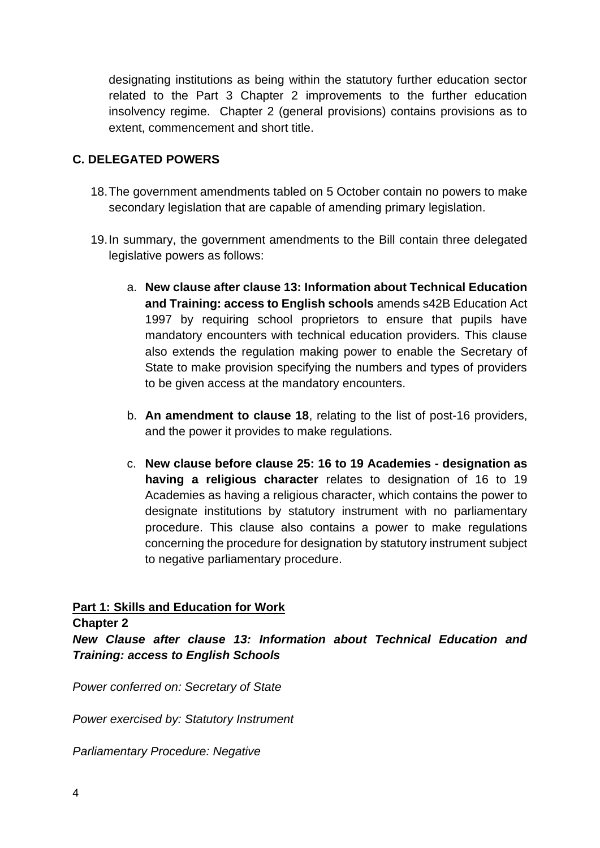designating institutions as being within the statutory further education sector related to the Part 3 Chapter 2 improvements to the further education insolvency regime. Chapter 2 (general provisions) contains provisions as to extent, commencement and short title.

# **C. DELEGATED POWERS**

- 18.The government amendments tabled on 5 October contain no powers to make secondary legislation that are capable of amending primary legislation.
- 19.In summary, the government amendments to the Bill contain three delegated legislative powers as follows:
	- a. **New clause after clause 13: Information about Technical Education and Training: access to English schools** amends s42B Education Act 1997 by requiring school proprietors to ensure that pupils have mandatory encounters with technical education providers. This clause also extends the regulation making power to enable the Secretary of State to make provision specifying the numbers and types of providers to be given access at the mandatory encounters.
	- b. **An amendment to clause 18**, relating to the list of post-16 providers, and the power it provides to make regulations.
	- c. **New clause before clause 25: 16 to 19 Academies - designation as having a religious character** relates to designation of 16 to 19 Academies as having a religious character, which contains the power to designate institutions by statutory instrument with no parliamentary procedure. This clause also contains a power to make regulations concerning the procedure for designation by statutory instrument subject to negative parliamentary procedure.

## **Part 1: Skills and Education for Work**

**Chapter 2** 

*New Clause after clause 13: Information about Technical Education and Training: access to English Schools*

*Power conferred on: Secretary of State* 

*Power exercised by: Statutory Instrument*

*Parliamentary Procedure: Negative*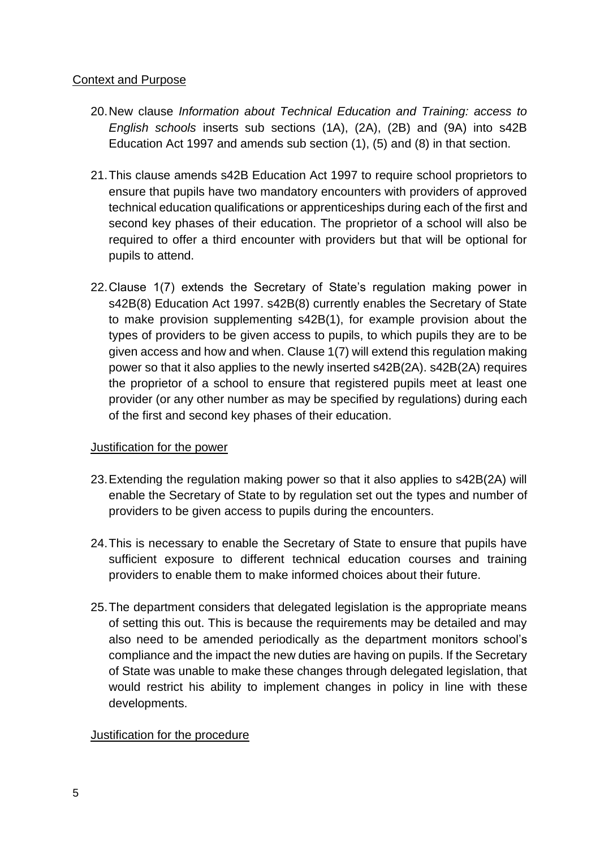## Context and Purpose

- 20.New clause *Information about Technical Education and Training: access to English schools* inserts sub sections (1A), (2A), (2B) and (9A) into s42B Education Act 1997 and amends sub section (1), (5) and (8) in that section.
- 21.This clause amends s42B Education Act 1997 to require school proprietors to ensure that pupils have two mandatory encounters with providers of approved technical education qualifications or apprenticeships during each of the first and second key phases of their education. The proprietor of a school will also be required to offer a third encounter with providers but that will be optional for pupils to attend.
- 22.Clause 1(7) extends the Secretary of State's regulation making power in s42B(8) Education Act 1997. s42B(8) currently enables the Secretary of State to make provision supplementing s42B(1), for example provision about the types of providers to be given access to pupils, to which pupils they are to be given access and how and when. Clause 1(7) will extend this regulation making power so that it also applies to the newly inserted s42B(2A). s42B(2A) requires the proprietor of a school to ensure that registered pupils meet at least one provider (or any other number as may be specified by regulations) during each of the first and second key phases of their education.

## Justification for the power

- 23.Extending the regulation making power so that it also applies to s42B(2A) will enable the Secretary of State to by regulation set out the types and number of providers to be given access to pupils during the encounters.
- 24.This is necessary to enable the Secretary of State to ensure that pupils have sufficient exposure to different technical education courses and training providers to enable them to make informed choices about their future.
- 25.The department considers that delegated legislation is the appropriate means of setting this out. This is because the requirements may be detailed and may also need to be amended periodically as the department monitors school's compliance and the impact the new duties are having on pupils. If the Secretary of State was unable to make these changes through delegated legislation, that would restrict his ability to implement changes in policy in line with these developments.

### Justification for the procedure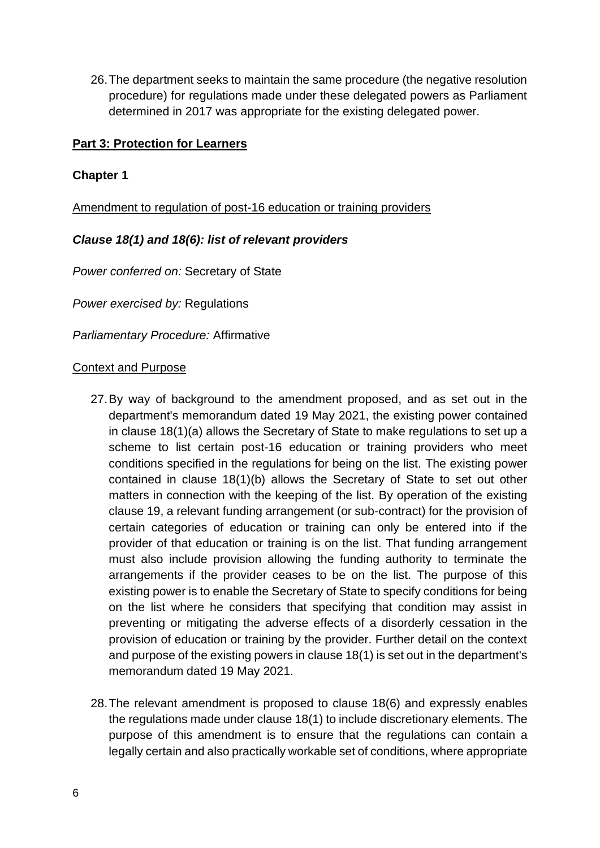26.The department seeks to maintain the same procedure (the negative resolution procedure) for regulations made under these delegated powers as Parliament determined in 2017 was appropriate for the existing delegated power.

### **Part 3: Protection for Learners**

## **Chapter 1**

Amendment to regulation of post-16 education or training providers

## *Clause 18(1) and 18(6): list of relevant providers*

*Power conferred on:* Secretary of State

*Power exercised by:* Regulations

*Parliamentary Procedure:* Affirmative

#### Context and Purpose

- 27.By way of background to the amendment proposed, and as set out in the department's memorandum dated 19 May 2021, the existing power contained in clause 18(1)(a) allows the Secretary of State to make regulations to set up a scheme to list certain post-16 education or training providers who meet conditions specified in the regulations for being on the list. The existing power contained in clause 18(1)(b) allows the Secretary of State to set out other matters in connection with the keeping of the list. By operation of the existing clause 19, a relevant funding arrangement (or sub-contract) for the provision of certain categories of education or training can only be entered into if the provider of that education or training is on the list. That funding arrangement must also include provision allowing the funding authority to terminate the arrangements if the provider ceases to be on the list. The purpose of this existing power is to enable the Secretary of State to specify conditions for being on the list where he considers that specifying that condition may assist in preventing or mitigating the adverse effects of a disorderly cessation in the provision of education or training by the provider. Further detail on the context and purpose of the existing powers in clause 18(1) is set out in the department's memorandum dated 19 May 2021.
- 28.The relevant amendment is proposed to clause 18(6) and expressly enables the regulations made under clause 18(1) to include discretionary elements. The purpose of this amendment is to ensure that the regulations can contain a legally certain and also practically workable set of conditions, where appropriate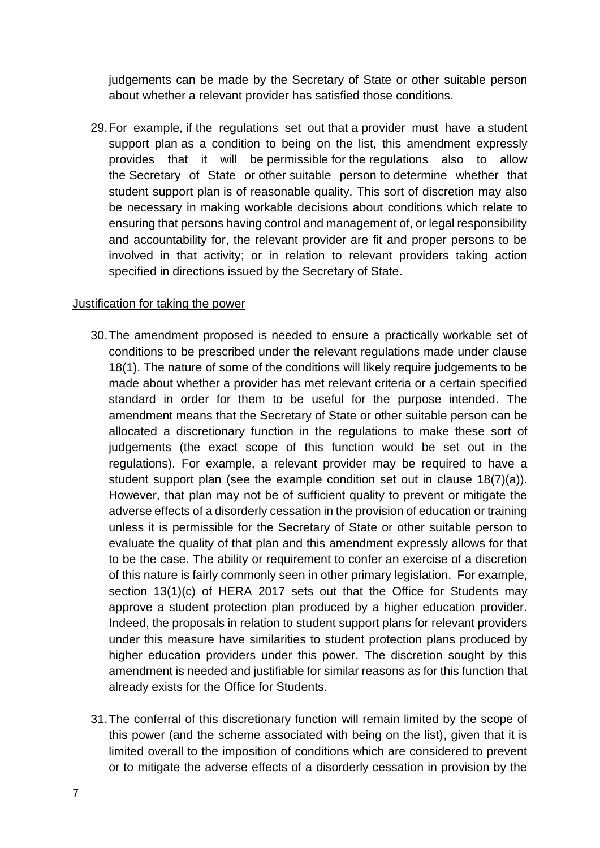judgements can be made by the Secretary of State or other suitable person about whether a relevant provider has satisfied those conditions.

29.For example, if the regulations set out that a provider must have a student support plan as a condition to being on the list, this amendment expressly provides that it will be permissible for the regulations also to allow the Secretary of State or other suitable person to determine whether that student support plan is of reasonable quality. This sort of discretion may also be necessary in making workable decisions about conditions which relate to ensuring that persons having control and management of, or legal responsibility and accountability for, the relevant provider are fit and proper persons to be involved in that activity; or in relation to relevant providers taking action specified in directions issued by the Secretary of State.

#### Justification for taking the power

- 30.The amendment proposed is needed to ensure a practically workable set of conditions to be prescribed under the relevant regulations made under clause 18(1). The nature of some of the conditions will likely require judgements to be made about whether a provider has met relevant criteria or a certain specified standard in order for them to be useful for the purpose intended. The amendment means that the Secretary of State or other suitable person can be allocated a discretionary function in the regulations to make these sort of judgements (the exact scope of this function would be set out in the regulations). For example, a relevant provider may be required to have a student support plan (see the example condition set out in clause 18(7)(a)). However, that plan may not be of sufficient quality to prevent or mitigate the adverse effects of a disorderly cessation in the provision of education or training unless it is permissible for the Secretary of State or other suitable person to evaluate the quality of that plan and this amendment expressly allows for that to be the case. The ability or requirement to confer an exercise of a discretion of this nature is fairly commonly seen in other primary legislation. For example, section 13(1)(c) of HERA 2017 sets out that the Office for Students may approve a student protection plan produced by a higher education provider. Indeed, the proposals in relation to student support plans for relevant providers under this measure have similarities to student protection plans produced by higher education providers under this power. The discretion sought by this amendment is needed and justifiable for similar reasons as for this function that already exists for the Office for Students.
- 31.The conferral of this discretionary function will remain limited by the scope of this power (and the scheme associated with being on the list), given that it is limited overall to the imposition of conditions which are considered to prevent or to mitigate the adverse effects of a disorderly cessation in provision by the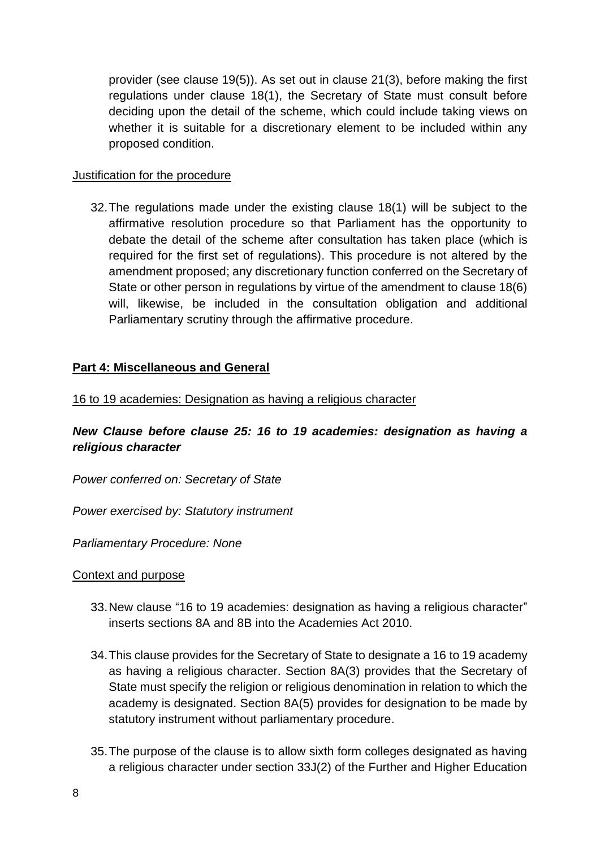provider (see clause 19(5)). As set out in clause 21(3), before making the first regulations under clause 18(1), the Secretary of State must consult before deciding upon the detail of the scheme, which could include taking views on whether it is suitable for a discretionary element to be included within any proposed condition.

### Justification for the procedure

32.The regulations made under the existing clause 18(1) will be subject to the affirmative resolution procedure so that Parliament has the opportunity to debate the detail of the scheme after consultation has taken place (which is required for the first set of regulations). This procedure is not altered by the amendment proposed; any discretionary function conferred on the Secretary of State or other person in regulations by virtue of the amendment to clause 18(6) will, likewise, be included in the consultation obligation and additional Parliamentary scrutiny through the affirmative procedure.

### **Part 4: Miscellaneous and General**

16 to 19 academies: Designation as having a religious character

# *New Clause before clause 25: 16 to 19 academies: designation as having a religious character*

*Power conferred on: Secretary of State* 

*Power exercised by: Statutory instrument*

*Parliamentary Procedure: None*

### Context and purpose

- 33.New clause "16 to 19 academies: designation as having a religious character" inserts sections 8A and 8B into the Academies Act 2010.
- 34.This clause provides for the Secretary of State to designate a 16 to 19 academy as having a religious character. Section 8A(3) provides that the Secretary of State must specify the religion or religious denomination in relation to which the academy is designated. Section 8A(5) provides for designation to be made by statutory instrument without parliamentary procedure.
- 35.The purpose of the clause is to allow sixth form colleges designated as having a religious character under section 33J(2) of the Further and Higher Education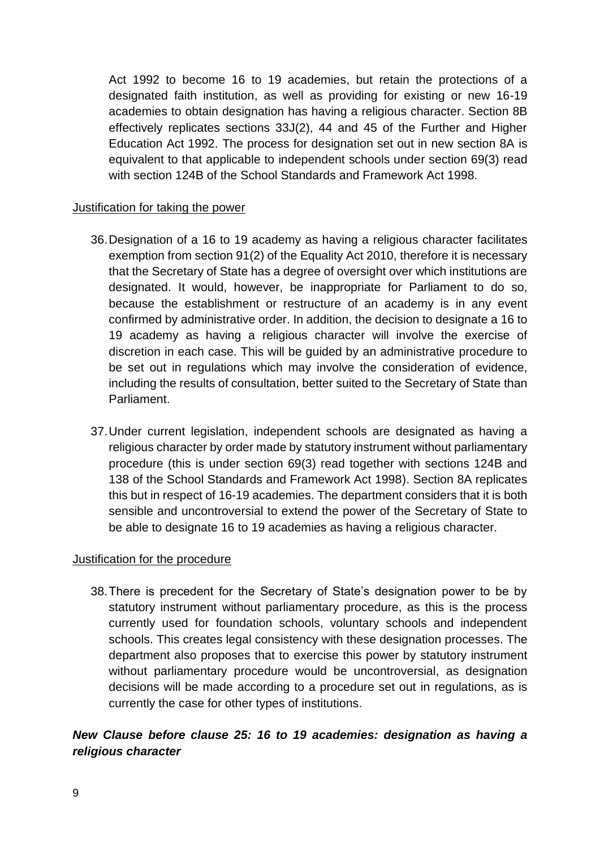Act 1992 to become 16 to 19 academies, but retain the protections of a designated faith institution, as well as providing for existing or new 16-19 academies to obtain designation has having a religious character. Section 8B effectively replicates sections 33J(2), 44 and 45 of the Further and Higher Education Act 1992. The process for designation set out in new section 8A is equivalent to that applicable to independent schools under section 69(3) read with section 124B of the School Standards and Framework Act 1998.

### Justification for taking the power

- 36.Designation of a 16 to 19 academy as having a religious character facilitates exemption from section 91(2) of the Equality Act 2010, therefore it is necessary that the Secretary of State has a degree of oversight over which institutions are designated. It would, however, be inappropriate for Parliament to do so, because the establishment or restructure of an academy is in any event confirmed by administrative order. In addition, the decision to designate a 16 to 19 academy as having a religious character will involve the exercise of discretion in each case. This will be guided by an administrative procedure to be set out in regulations which may involve the consideration of evidence, including the results of consultation, better suited to the Secretary of State than Parliament.
- 37.Under current legislation, independent schools are designated as having a religious character by order made by statutory instrument without parliamentary procedure (this is under section 69(3) read together with sections 124B and 138 of the School Standards and Framework Act 1998). Section 8A replicates this but in respect of 16-19 academies. The department considers that it is both sensible and uncontroversial to extend the power of the Secretary of State to be able to designate 16 to 19 academies as having a religious character.

### Justification for the procedure

38.There is precedent for the Secretary of State's designation power to be by statutory instrument without parliamentary procedure, as this is the process currently used for foundation schools, voluntary schools and independent schools. This creates legal consistency with these designation processes. The department also proposes that to exercise this power by statutory instrument without parliamentary procedure would be uncontroversial, as designation decisions will be made according to a procedure set out in regulations, as is currently the case for other types of institutions.

## *New Clause before clause 25: 16 to 19 academies: designation as having a religious character*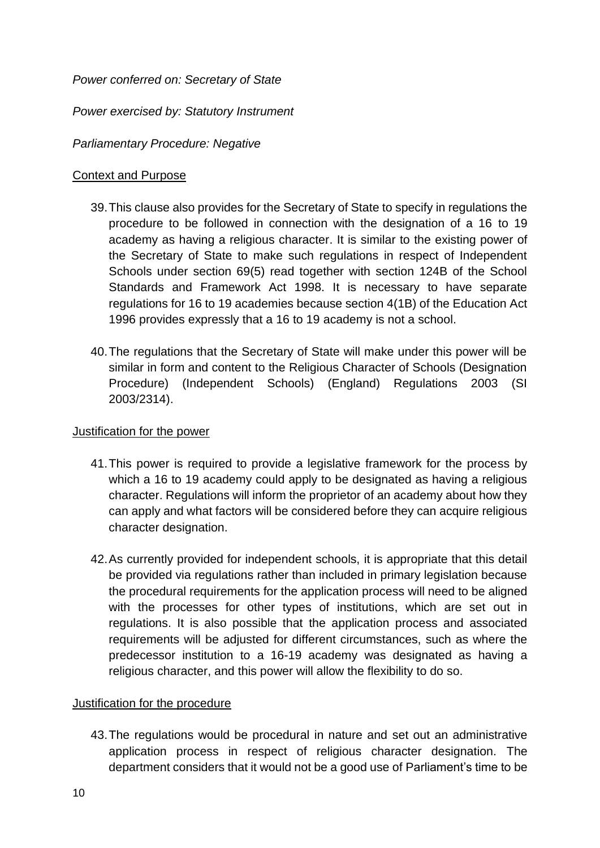*Power conferred on: Secretary of State* 

*Power exercised by: Statutory Instrument*

## *Parliamentary Procedure: Negative*

### Context and Purpose

- 39.This clause also provides for the Secretary of State to specify in regulations the procedure to be followed in connection with the designation of a 16 to 19 academy as having a religious character. It is similar to the existing power of the Secretary of State to make such regulations in respect of Independent Schools under section 69(5) read together with section 124B of the School Standards and Framework Act 1998. It is necessary to have separate regulations for 16 to 19 academies because section 4(1B) of the Education Act 1996 provides expressly that a 16 to 19 academy is not a school.
- 40.The regulations that the Secretary of State will make under this power will be similar in form and content to the Religious Character of Schools (Designation Procedure) (Independent Schools) (England) Regulations 2003 (SI 2003/2314).

### Justification for the power

- 41.This power is required to provide a legislative framework for the process by which a 16 to 19 academy could apply to be designated as having a religious character. Regulations will inform the proprietor of an academy about how they can apply and what factors will be considered before they can acquire religious character designation.
- 42.As currently provided for independent schools, it is appropriate that this detail be provided via regulations rather than included in primary legislation because the procedural requirements for the application process will need to be aligned with the processes for other types of institutions, which are set out in regulations. It is also possible that the application process and associated requirements will be adjusted for different circumstances, such as where the predecessor institution to a 16-19 academy was designated as having a religious character, and this power will allow the flexibility to do so.

## Justification for the procedure

43.The regulations would be procedural in nature and set out an administrative application process in respect of religious character designation. The department considers that it would not be a good use of Parliament's time to be